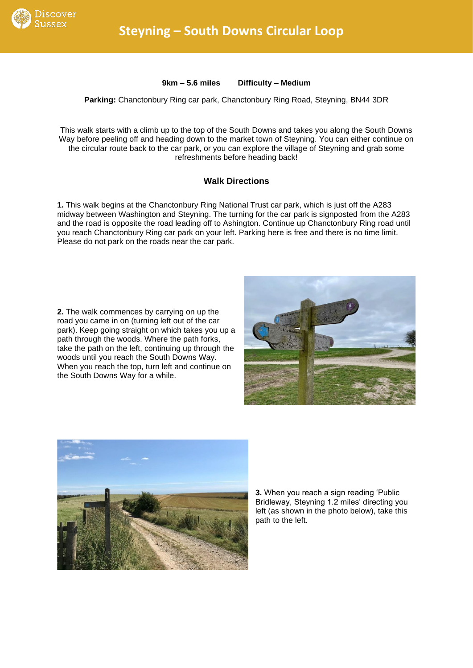

**9km – 5.6 miles Difficulty – Medium**

## **Parking:** Chanctonbury Ring car park, Chanctonbury Ring Road, Steyning, BN44 3DR

This walk starts with a climb up to the top of the South Downs and takes you along the South Downs Way before peeling off and heading down to the market town of Steyning. You can either continue on the circular route back to the car park, or you can explore the village of Steyning and grab some refreshments before heading back!

## **Walk Directions**

**1.** This walk begins at the Chanctonbury Ring National Trust car park, which is just off the A283 midway between Washington and Steyning. The turning for the car park is signposted from the A283 and the road is opposite the road leading off to Ashington. Continue up Chanctonbury Ring road until you reach Chanctonbury Ring car park on your left. Parking here is free and there is no time limit. Please do not park on the roads near the car park.

**2.** The walk commences by carrying on up the road you came in on (turning left out of the car park). Keep going straight on which takes you up a path through the woods. Where the path forks, take the path on the left, continuing up through the woods until you reach the South Downs Way. When you reach the top, turn left and continue on the South Downs Way for a while.





**3.** When you reach a sign reading 'Public Bridleway, Steyning 1.2 miles' directing you left (as shown in the photo below), take this path to the left.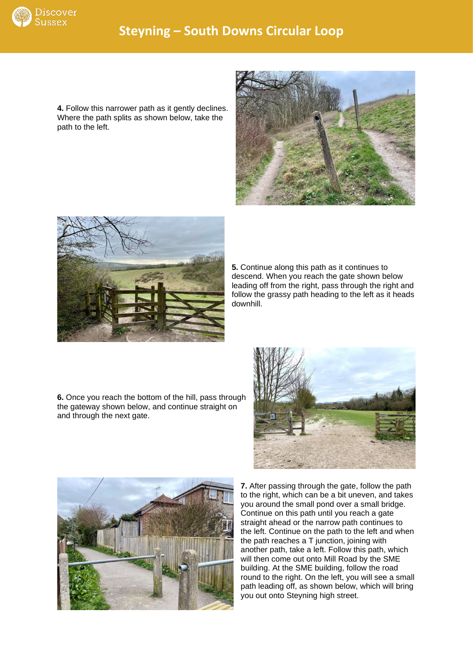

**4.** Follow this narrower path as it gently declines. Where the path splits as shown below, take the path to the left.





**5.** Continue along this path as it continues to descend. When you reach the gate shown below leading off from the right, pass through the right and follow the grassy path heading to the left as it heads downhill.

**6.** Once you reach the bottom of the hill, pass through the gateway shown below, and continue straight on and through the next gate.





**7.** After passing through the gate, follow the path to the right, which can be a bit uneven, and takes you around the small pond over a small bridge. Continue on this path until you reach a gate straight ahead or the narrow path continues to the left. Continue on the path to the left and when the path reaches a T junction, joining with another path, take a left. Follow this path, which will then come out onto Mill Road by the SME building. At the SME building, follow the road round to the right. On the left, you will see a small path leading off, as shown below, which will bring you out onto Steyning high street.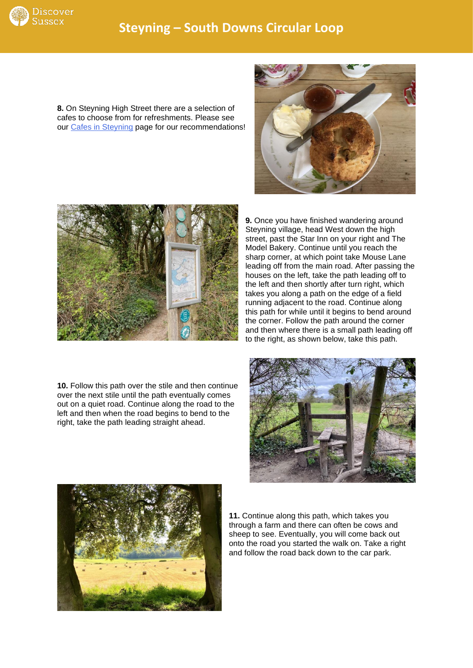

**8.** On Steyning High Street there are a selection of cafes to choose from for refreshments. Please see our [Cafes in Steyning](https://discoversussex.org/cafes-in-sussex/cafes-in-steyning/) page for our recommendations!





**9.** Once you have finished wandering around Steyning village, head West down the high street, past the Star Inn on your right and The Model Bakery. Continue until you reach the sharp corner, at which point take Mouse Lane leading off from the main road. After passing the houses on the left, take the path leading off to the left and then shortly after turn right, which takes you along a path on the edge of a field running adjacent to the road. Continue along this path for while until it begins to bend around the corner. Follow the path around the corner and then where there is a small path leading off to the right, as shown below, take this path.

**10.** Follow this path over the stile and then continue over the next stile until the path eventually comes out on a quiet road. Continue along the road to the left and then when the road begins to bend to the right, take the path leading straight ahead.





**11.** Continue along this path, which takes you through a farm and there can often be cows and sheep to see. Eventually, you will come back out onto the road you started the walk on. Take a right and follow the road back down to the car park.